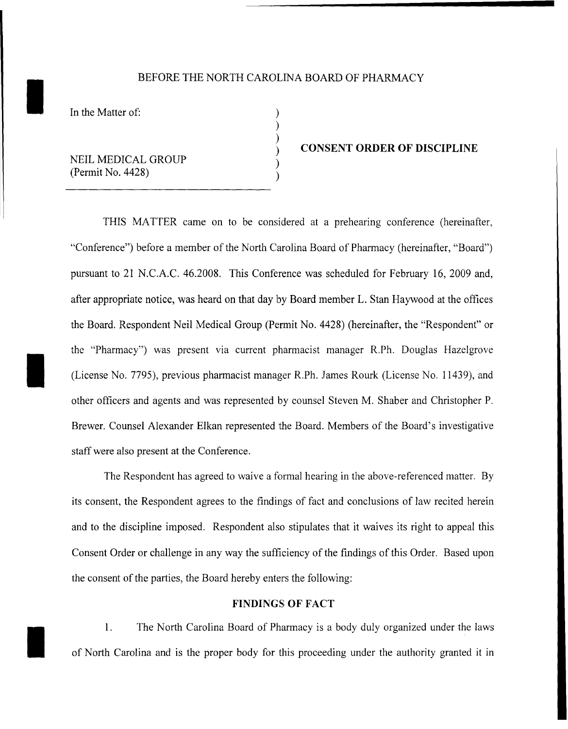# BEFORE THE NORTH CAROLINA BOARD OF PHARMACY<br>In the Matter of:

) ) ) ) ) )

I

I

NEIL MEDICAL GROUP (Permit No. 4428)

#### **CONSENT ORDER OF DISCIPLINE**

THIS MATTER came on to be considered at a prehearing conference (hereinafter, "Conference") before a member of the North Carolina Board of Pharmacy (hereinafter, "Board") pursuant to 21 N.C.A.C. 46.2008. This Conference was scheduled for February 16, 2009 and, after appropriate notice, was heard on that day by Board member L. Stan Haywood at the offices the Board. Respondent Neil Medical Group (Permit No. 4428) (hereinafter, the "Respondent" or the "Pharmacy") was present via current pharmacist manager R.Ph. Douglas Hazelgrove (License No. 7795), previous pharmacist manager R.Ph. James Rourk (License No. 11439), and other officers and agents and was represented by counsel Steven M. Shaber and Christopher P. Brewer. Counsel Alexander Elkan represented the Board. Members of the Board's investigative staff were also present at the Conference.

The Respondent has agreed to waive a formal hearing in the above-referenced matter. By its consent, the Respondent agrees to the findings of fact and conclusions of law recited herein and to the discipline imposed. Respondent also stipulates that it waives its right to appeal this Consent Order or challenge in any way the sufficiency of the findings of this Order. Based upon the consent of the parties, the Board hereby enters the following:

#### **FINDINGS OF FACT**

1. The North Carolina Board of Pharmacy is a body duly organized under the laws of North Carolina and is the proper body for this proceeding under the authority granted it in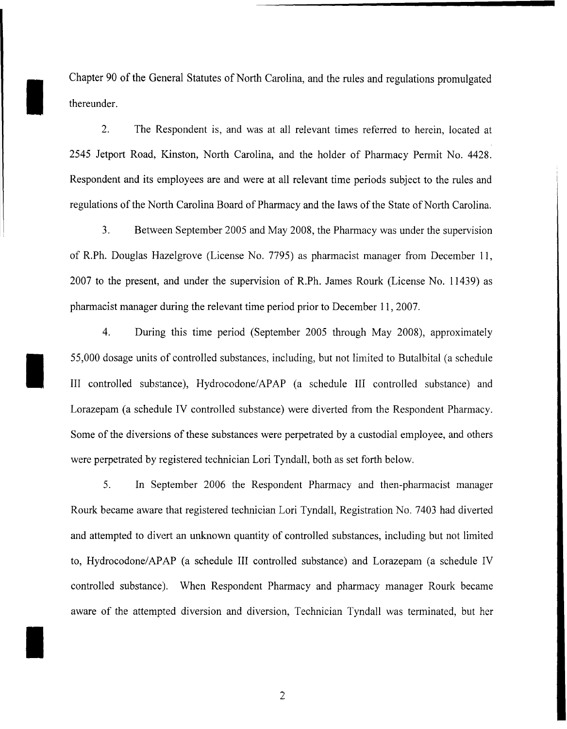Chapter 90 of the General Statutes of North Carolina, and the rules and regulations promulgated thereunder.

I

I

I

2. The Respondent is, and was at all relevant times referred to herein, located at 2545 Jetport Road, Kinston, North Carolina, and the holder of Pharmacy Permit No. 4428. Respondent and its employees are and were at all relevant time periods subject to the rules and regulations of the North Carolina Board of Pharmacy and the laws of the State of North Carolina.

3. Between September 2005 and May 2008, the Pharmacy was under the supervision of R.Ph. Douglas Hazelgrove (License No. 7795) as pharmacist manager from December 11, 2007 to the present, and under the supervision of R.Ph. James Rourk (License No. 11439) as pharmacist manager during the relevant time period prior to December 11, 2007.

4. During this time period (September 2005 through May 2008), approximately 55,000 dosage units of controlled substances, including, but not limited to Butalbital (a schedule III controlled substance), Hydrocodone/APAP (a schedule III controlled substance) and Lorazepam (a schedule IV controlled substance) were diverted from the Respondent Pharmacy. Some of the diversions of these substances were perpetrated by a custodial employee, and others were perpetrated by registered technician Lori Tyndall, both as set forth below.

5. In September 2006 the Respondent Pharmacy and then-pharmacist manager Rourk became aware that registered technician Lori Tyndall, Registration No. 7403 had diverted and attempted to divert an unknown quantity of controlled substances, including but not limited to, Hydrocodone/APAP (a schedule III controlled substance) and Lorazepam (a schedule IV controlled substance). When Respondent Pharmacy and pharmacy manager Rourk became aware of the attempted diversion and diversion, Technician Tyndall was terminated, but her

 $\overline{2}$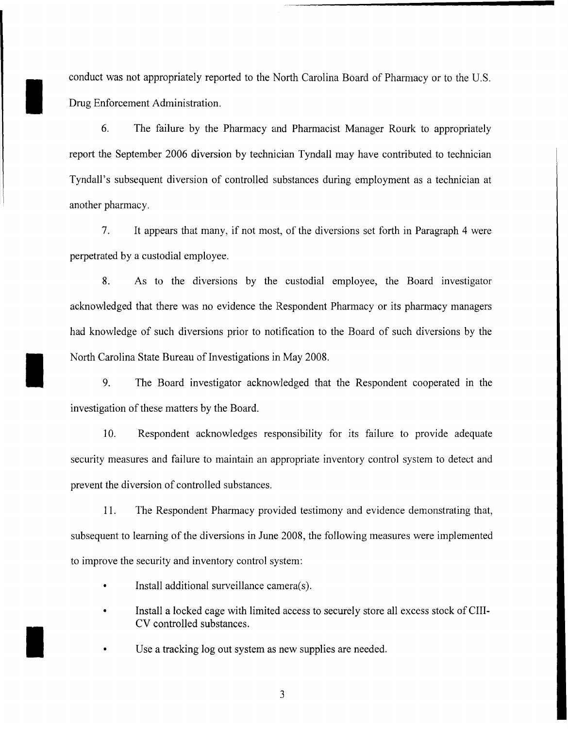conduct was not appropriately reported to the North Carolina Board of Pharmacy or to the U.S. Drug Enforcement Administration.

I

I

I

6. The failure by the Pharmacy and Pharmacist Manager Rourk to appropriately report the September 2006 diversion by technician Tyndall may have contributed to technician Tyndall's subsequent diversion of controlled substances during employment as a technician at another pharmacy.

7. It appears that many, if not most, of the diversions set forth in Paragraph 4 were perpetrated by a custodial employee.

8. As to the diversions by the custodial employee, the Board investigator acknowledged that there was no evidence the Respondent Pharmacy or its pharmacy managers had knowledge of such diversions prior to notification to the Board of such diversions by the North Carolina State Bureau of Investigations in May 2008.

9. The Board investigator acknowledged that the Respondent cooperated in the investigation of these matters by the Board.

10. Respondent acknowledges responsibility for its failure to provide adequate security measures and failure to maintain an appropriate inventory control system to detect and prevent the diversion of controlled substances.

11. The Respondent Pharmacy provided testimony and evidence demonstrating that, subsequent to learning of the diversions in June 2008, the following measures were implemented to improve the security and inventory control system:

- Install additional surveillance camera(s).
- Install a locked cage with limited access to securely store all excess stock of CIII-CV controlled substances.

• Use a tracking log out system as new supplies are needed.

3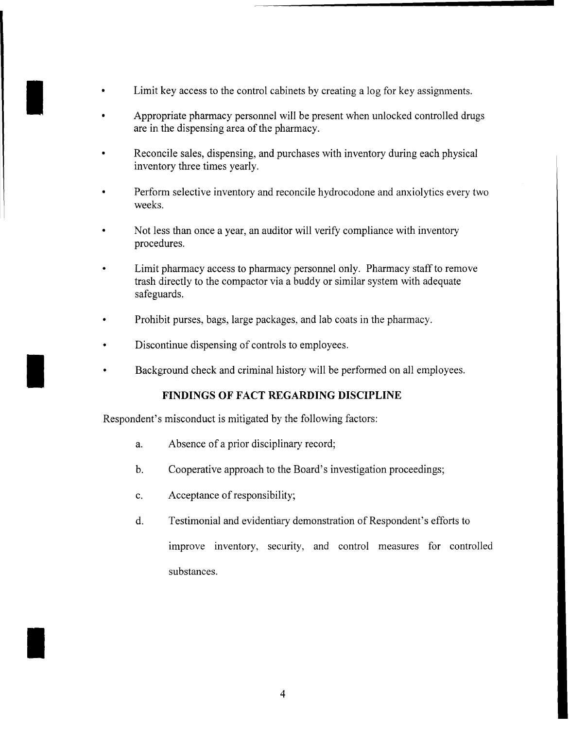- Limit key access to the control cabinets by creating a log for key assignments.
- $\mathbf{I}$ • Appropriate pharmacy personnel will be present when unlocked controlled drugs are in the dispensing area of the pharmacy.
	- Reconcile sales, dispensing, and purchases with inventory during each physical inventory three times yearly.
	- Perform selective inventory and reconcile hydrocodone and anxiolytics every two weeks.
	- Not less than once a year, an auditor will verify compliance with inventory procedures.
	- Limit pharmacy access to pharmacy personnel only. Pharmacy staff to remove trash directly to the compactor via a buddy or similar system with adequate safeguards.
	- Prohibit purses, bags, large packages, and lab coats in the pharmacy.
	- Discontinue dispensing of controls to employees.
	- Background check and criminal history will be performed on all employees.

# **FINDINGS OF FACT REGARDING DISCIPLINE**

Respondent's misconduct is mitigated by the following factors:

- a. Absence of a prior disciplinary record;
- b. Cooperative approach to the Board's investigation proceedings;
- c. Acceptance of responsibility;

I

d. Testimonial and evidentiary demonstration of Respondent's efforts to improve inventory, security, and control measures for controlled substances.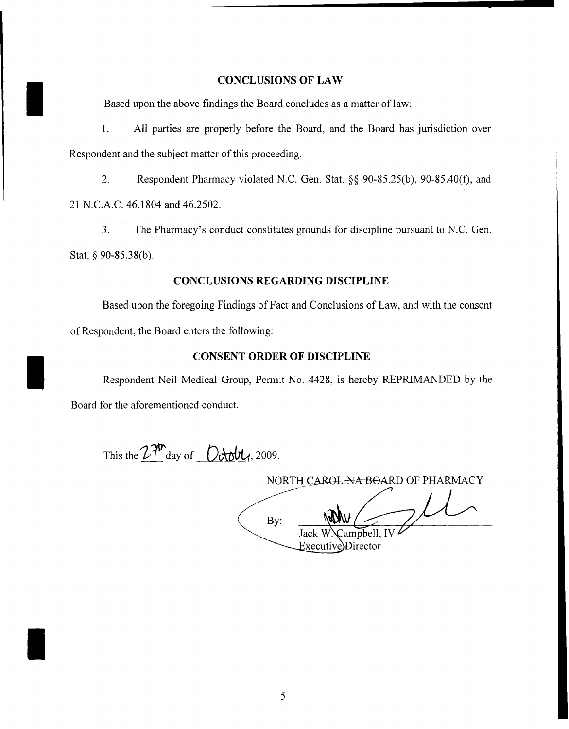## **CONCLUSIONS OF LAW**

Based upon the above findings the Board concludes as a matter of law:

I

I

I

1. All parties are properly before the Board, and the Board has jurisdiction over Respondent and the subject matter of this proceeding.

2. Respondent Pharmacy violated N.C. Gen. Stat. §§ 90-85.25(b), 90-85.40(f), and 21 N.C.A.C. 46.1804 and 46.2502.

3. The Pharmacy's conduct constitutes grounds for discipline pursuant to N.C. Gen. Stat. § 90-85.38(b).

## **CONCLUSIONS REGARDING DISCIPLINE**

Based upon the foregoing Findings of Fact and Conclusions of Law, and with the consent of Respondent, the Board enters the following:

## **CONSENT ORDER OF DISCIPLINE**

Respondent Neil Medical Group, Permit No. 4428, is hereby REPRIMANDED by the Board for the aforementioned conduct.

This the  $27<sup>th</sup>$  day of  $0$ *tobl<sub>1</sub>*, 2009.

|     | NORTH CAR <del>OLINA BOA</del> RD OF PHARMACY |
|-----|-----------------------------------------------|
|     |                                               |
| Bv: |                                               |
|     | Jack W. Campbell, IV                          |
|     | Executive Director                            |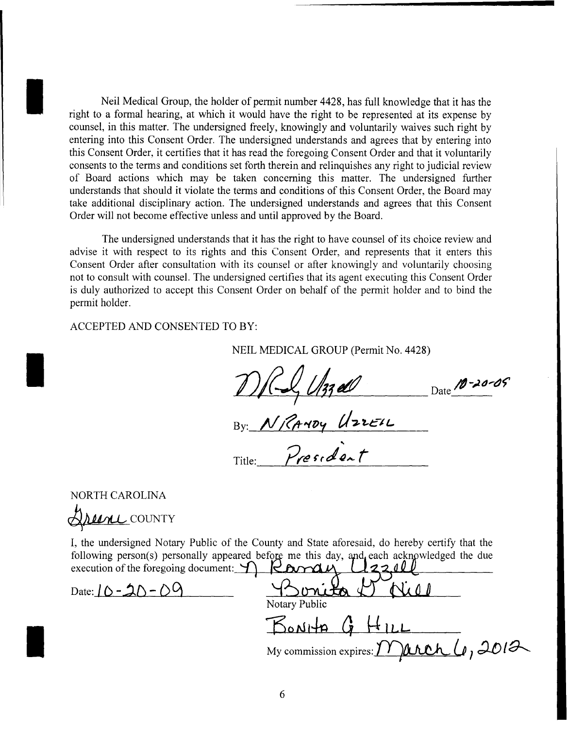Neil Medical Group, the holder of permit number 4428, has full knowledge that it has the right to a formal hearing, at which it would have the right to be represented at its expense by counsel, in this matter. The undersigned freely, knowingly and voluntarily waives such right by entering into this Consent Order. The undersigned understands and agrees that by entering into this Consent Order, it certifies that it has read the foregoing Consent Order and that it voluntarily consents to the terms and conditions set forth therein and relinquishes any right to judicial review of Board actions which may be taken concerning this matter. The undersigned further understands that should it violate the terms and conditions of this Consent Order, the Board may take additional disciplinary action. The undersigned understands and agrees that this Consent Order will not become effective unless and until approved by the Board.

The undersigned understands that it has the right to have counsel of its choice review and advise it with respect to its rights and this Consent Order, and represents that it enters this Consent Order after consultation with its counsel or after knowingly and voluntarily choosing not to consult with counsel. The undersigned certifies that its agent executing this Consent Order is duly authorized to accept this Consent Order on behalf of the permit holder and to bind the permit holder.

ACCEPTED AND CONSENTED TO BY:

NEIL MEDICAL GROUP (Permit No. 4428)

 $127$  de Date 10-20-05

Title:  $By: M/R$ ANDY UZZEIL President

NORTH CAROLINA

I

I

I

Arene COUNTY

I, the undersigned Notary Public of the County and State aforesaid, do hereby certify that the following person(s) personally appeared before me this day, and each acknowledged the due execution of the foregoing document:  $\bigcap$   $\mathcal{L}\text{and } \mathcal{L}$ 

Date: I() **-:hC'J - ()9** ....--t!..:~~...a..-...J~-4-...IO-l!l \_ Notary Public  $B_{\text{o}N}H$ My commission expires: <u>March</u> 4, 2012